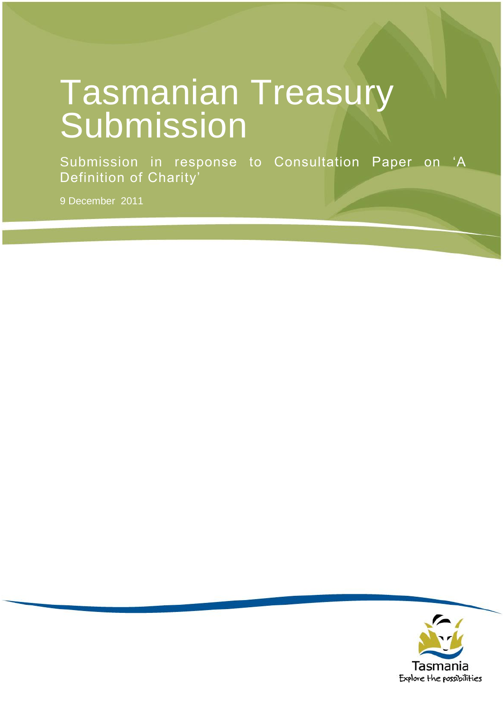# Tasmanian Treasury Submission

Submission in response to Consultation Paper on "A Definition of Charity'

9 December 2011

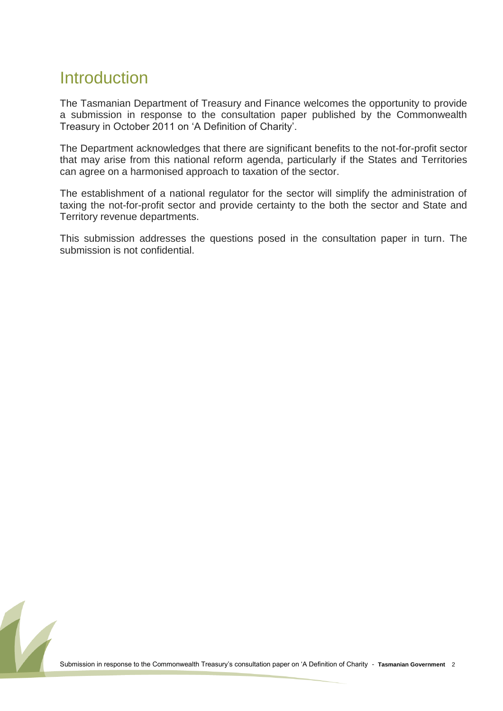# **Introduction**

The Tasmanian Department of Treasury and Finance welcomes the opportunity to provide a submission in response to the consultation paper published by the Commonwealth Treasury in October 2011 on "A Definition of Charity".

The Department acknowledges that there are significant benefits to the not-for-profit sector that may arise from this national reform agenda, particularly if the States and Territories can agree on a harmonised approach to taxation of the sector.

The establishment of a national regulator for the sector will simplify the administration of taxing the not-for-profit sector and provide certainty to the both the sector and State and Territory revenue departments.

This submission addresses the questions posed in the consultation paper in turn. The submission is not confidential.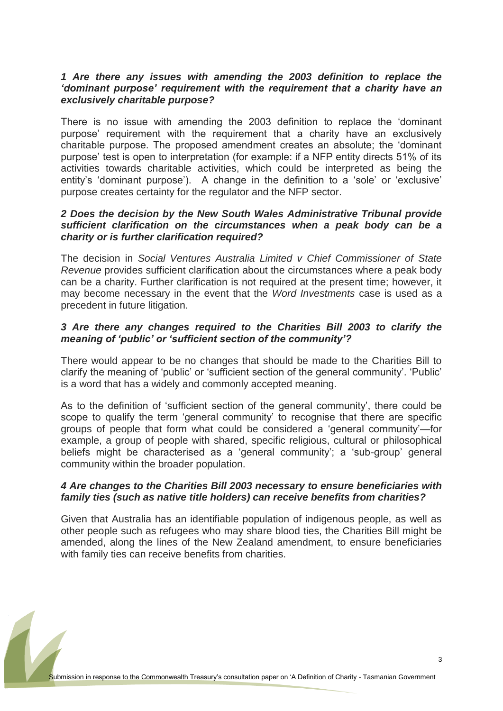# *1 Are there any issues with amending the 2003 definition to replace the 'dominant purpose' requirement with the requirement that a charity have an exclusively charitable purpose?*

There is no issue with amending the 2003 definition to replace the "dominant purpose" requirement with the requirement that a charity have an exclusively charitable purpose. The proposed amendment creates an absolute; the "dominant purpose' test is open to interpretation (for example: if a NFP entity directs 51% of its activities towards charitable activities, which could be interpreted as being the entity's 'dominant purpose'). A change in the definition to a 'sole' or 'exclusive' purpose creates certainty for the regulator and the NFP sector.

## *2 Does the decision by the New South Wales Administrative Tribunal provide sufficient clarification on the circumstances when a peak body can be a charity or is further clarification required?*

The decision in *Social Ventures Australia Limited v Chief Commissioner of State Revenue* provides sufficient clarification about the circumstances where a peak body can be a charity. Further clarification is not required at the present time; however, it may become necessary in the event that the *Word Investments* case is used as a precedent in future litigation.

# *3 Are there any changes required to the Charities Bill 2003 to clarify the meaning of 'public' or 'sufficient section of the community'?*

There would appear to be no changes that should be made to the Charities Bill to clarify the meaning of "public" or "sufficient section of the general community". "Public" is a word that has a widely and commonly accepted meaning.

As to the definition of 'sufficient section of the general community', there could be scope to qualify the term 'general community' to recognise that there are specific groups of people that form what could be considered a "general community"—for example, a group of people with shared, specific religious, cultural or philosophical beliefs might be characterised as a "general community"; a "sub-group" general community within the broader population.

# *4 Are changes to the Charities Bill 2003 necessary to ensure beneficiaries with family ties (such as native title holders) can receive benefits from charities?*

Given that Australia has an identifiable population of indigenous people, as well as other people such as refugees who may share blood ties, the Charities Bill might be amended, along the lines of the New Zealand amendment, to ensure beneficiaries with family ties can receive benefits from charities.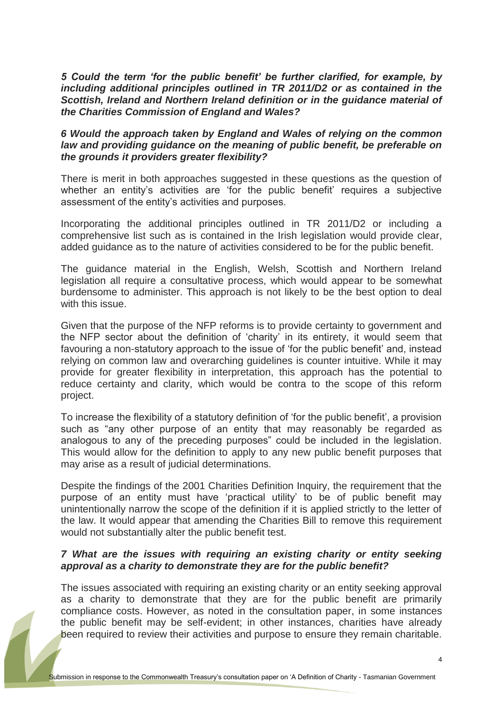*5 Could the term 'for the public benefit' be further clarified, for example, by including additional principles outlined in TR 2011/D2 or as contained in the Scottish, Ireland and Northern Ireland definition or in the guidance material of the Charities Commission of England and Wales?*

# *6 Would the approach taken by England and Wales of relying on the common law and providing guidance on the meaning of public benefit, be preferable on the grounds it providers greater flexibility?*

There is merit in both approaches suggested in these questions as the question of whether an entity's activities are 'for the public benefit' requires a subjective assessment of the entity"s activities and purposes.

Incorporating the additional principles outlined in TR 2011/D2 or including a comprehensive list such as is contained in the Irish legislation would provide clear, added guidance as to the nature of activities considered to be for the public benefit.

The guidance material in the English, Welsh, Scottish and Northern Ireland legislation all require a consultative process, which would appear to be somewhat burdensome to administer. This approach is not likely to be the best option to deal with this issue.

Given that the purpose of the NFP reforms is to provide certainty to government and the NFP sector about the definition of "charity" in its entirety, it would seem that favouring a non-statutory approach to the issue of 'for the public benefit' and, instead relying on common law and overarching guidelines is counter intuitive. While it may provide for greater flexibility in interpretation, this approach has the potential to reduce certainty and clarity, which would be contra to the scope of this reform project.

To increase the flexibility of a statutory definition of "for the public benefit", a provision such as "any other purpose of an entity that may reasonably be regarded as analogous to any of the preceding purposes" could be included in the legislation. This would allow for the definition to apply to any new public benefit purposes that may arise as a result of judicial determinations.

Despite the findings of the 2001 Charities Definition Inquiry, the requirement that the purpose of an entity must have "practical utility" to be of public benefit may unintentionally narrow the scope of the definition if it is applied strictly to the letter of the law. It would appear that amending the Charities Bill to remove this requirement would not substantially alter the public benefit test.

## *7 What are the issues with requiring an existing charity or entity seeking approval as a charity to demonstrate they are for the public benefit?*

The issues associated with requiring an existing charity or an entity seeking approval as a charity to demonstrate that they are for the public benefit are primarily compliance costs. However, as noted in the consultation paper, in some instances the public benefit may be self-evident; in other instances, charities have already been required to review their activities and purpose to ensure they remain charitable.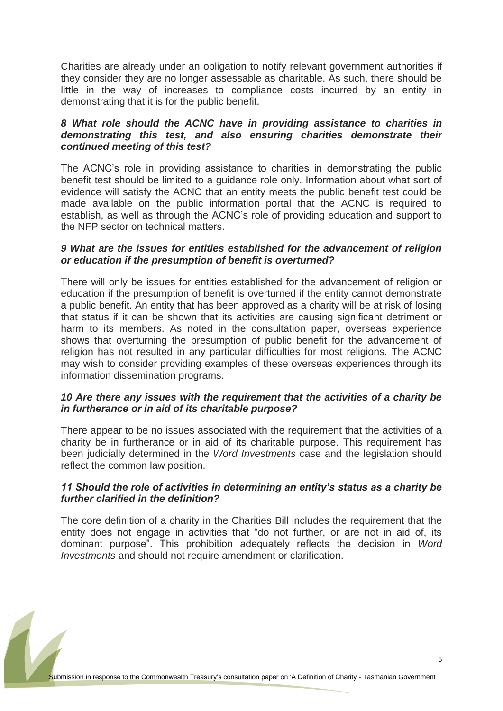Charities are already under an obligation to notify relevant government authorities if they consider they are no longer assessable as charitable. As such, there should be little in the way of increases to compliance costs incurred by an entity in demonstrating that it is for the public benefit.

# *8 What role should the ACNC have in providing assistance to charities in demonstrating this test, and also ensuring charities demonstrate their continued meeting of this test?*

The ACNC"s role in providing assistance to charities in demonstrating the public benefit test should be limited to a guidance role only. Information about what sort of evidence will satisfy the ACNC that an entity meets the public benefit test could be made available on the public information portal that the ACNC is required to establish, as well as through the ACNC"s role of providing education and support to the NFP sector on technical matters.

# *9 What are the issues for entities established for the advancement of religion or education if the presumption of benefit is overturned?*

There will only be issues for entities established for the advancement of religion or education if the presumption of benefit is overturned if the entity cannot demonstrate a public benefit. An entity that has been approved as a charity will be at risk of losing that status if it can be shown that its activities are causing significant detriment or harm to its members. As noted in the consultation paper, overseas experience shows that overturning the presumption of public benefit for the advancement of religion has not resulted in any particular difficulties for most religions. The ACNC may wish to consider providing examples of these overseas experiences through its information dissemination programs.

## *10 Are there any issues with the requirement that the activities of a charity be in furtherance or in aid of its charitable purpose?*

There appear to be no issues associated with the requirement that the activities of a charity be in furtherance or in aid of its charitable purpose. This requirement has been judicially determined in the *Word Investments* case and the legislation should reflect the common law position.

# *11 Should the role of activities in determining an entity's status as a charity be further clarified in the definition?*

The core definition of a charity in the Charities Bill includes the requirement that the entity does not engage in activities that "do not further, or are not in aid of, its dominant purpose". This prohibition adequately reflects the decision in *Word Investments* and should not require amendment or clarification.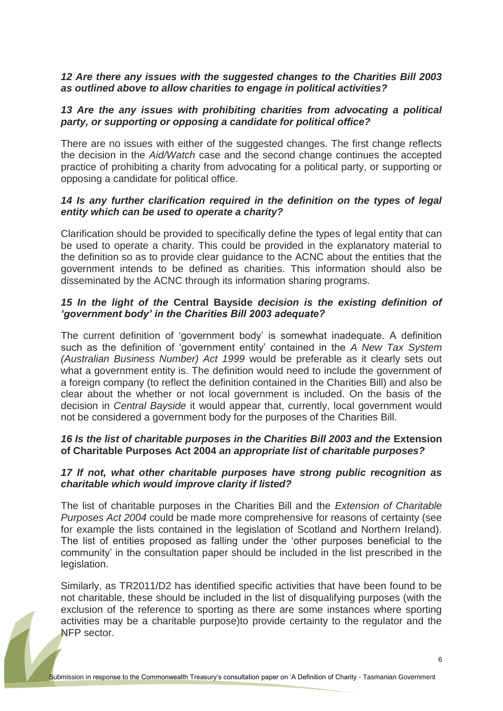# *12 Are there any issues with the suggested changes to the Charities Bill 2003 as outlined above to allow charities to engage in political activities?*

#### *13 Are the any issues with prohibiting charities from advocating a political party, or supporting or opposing a candidate for political office?*

There are no issues with either of the suggested changes. The first change reflects the decision in the *Aid/Watch* case and the second change continues the accepted practice of prohibiting a charity from advocating for a political party, or supporting or opposing a candidate for political office.

# *14 Is any further clarification required in the definition on the types of legal entity which can be used to operate a charity?*

Clarification should be provided to specifically define the types of legal entity that can be used to operate a charity. This could be provided in the explanatory material to the definition so as to provide clear guidance to the ACNC about the entities that the government intends to be defined as charities. This information should also be disseminated by the ACNC through its information sharing programs.

# *15 In the light of the* **Central Bayside** *decision is the existing definition of 'government body' in the Charities Bill 2003 adequate?*

The current definition of "government body" is somewhat inadequate. A definition such as the definition of "government entity" contained in the *A New Tax System (Australian Business Number) Act 1999* would be preferable as it clearly sets out what a government entity is. The definition would need to include the government of a foreign company (to reflect the definition contained in the Charities Bill) and also be clear about the whether or not local government is included. On the basis of the decision in *Central Bayside* it would appear that, currently, local government would not be considered a government body for the purposes of the Charities Bill.

# 16 Is the list of charitable purposes in the Charities Bill 2003 and the Extension **of Charitable Purposes Act 2004** *an appropriate list of charitable purposes?*

## *17 If not, what other charitable purposes have strong public recognition as charitable which would improve clarity if listed?*

The list of charitable purposes in the Charities Bill and the *Extension of Charitable Purposes Act 2004* could be made more comprehensive for reasons of certainty (see for example the lists contained in the legislation of Scotland and Northern Ireland). The list of entities proposed as falling under the "other purposes beneficial to the community" in the consultation paper should be included in the list prescribed in the legislation.

Similarly, as TR2011/D2 has identified specific activities that have been found to be not charitable, these should be included in the list of disqualifying purposes (with the exclusion of the reference to sporting as there are some instances where sporting activities may be a charitable purpose)to provide certainty to the regulator and the NFP sector.